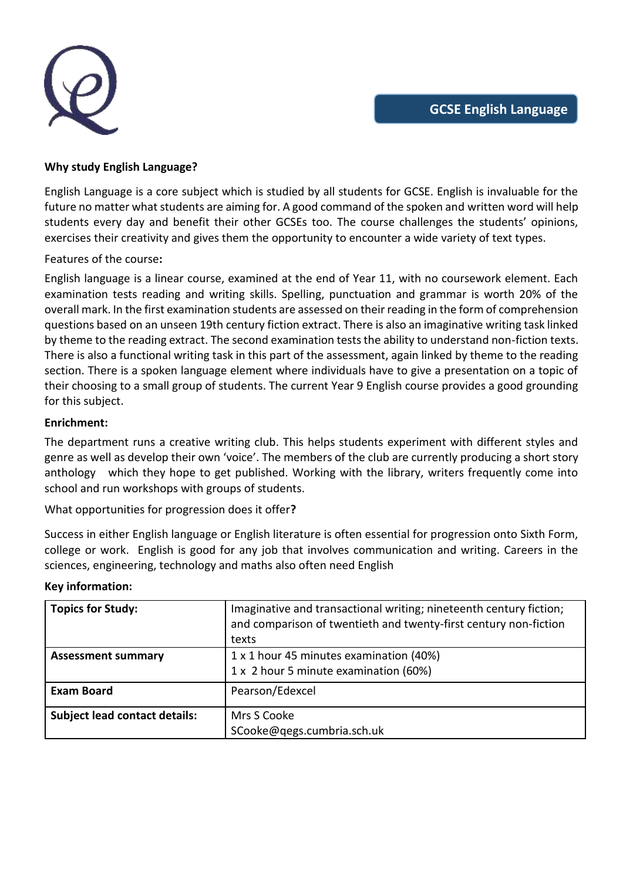

## **Why study English Language?**

English Language is a core subject which is studied by all students for GCSE. English is invaluable for the future no matter what students are aiming for. A good command of the spoken and written word will help students every day and benefit their other GCSEs too. The course challenges the students' opinions, exercises their creativity and gives them the opportunity to encounter a wide variety of text types.

# Features of the course**:**

English language is a linear course, examined at the end of Year 11, with no coursework element. Each examination tests reading and writing skills. Spelling, punctuation and grammar is worth 20% of the overall mark. In the first examination students are assessed on their reading in the form of comprehension questions based on an unseen 19th century fiction extract. There is also an imaginative writing task linked by theme to the reading extract. The second examination tests the ability to understand non-fiction texts. There is also a functional writing task in this part of the assessment, again linked by theme to the reading section. There is a spoken language element where individuals have to give a presentation on a topic of their choosing to a small group of students. The current Year 9 English course provides a good grounding for this subject.

## **Enrichment:**

The department runs a creative writing club. This helps students experiment with different styles and genre as well as develop their own 'voice'. The members of the club are currently producing a short story anthology which they hope to get published. Working with the library, writers frequently come into school and run workshops with groups of students.

What opportunities for progression does it offer**?**

Success in either English language or English literature is often essential for progression onto Sixth Form, college or work. English is good for any job that involves communication and writing. Careers in the sciences, engineering, technology and maths also often need English

| <b>Topics for Study:</b>             | Imaginative and transactional writing; nineteenth century fiction;<br>and comparison of twentieth and twenty-first century non-fiction<br>texts |
|--------------------------------------|-------------------------------------------------------------------------------------------------------------------------------------------------|
| <b>Assessment summary</b>            | 1 x 1 hour 45 minutes examination (40%)                                                                                                         |
|                                      | 1 x 2 hour 5 minute examination (60%)                                                                                                           |
| <b>Exam Board</b>                    | Pearson/Edexcel                                                                                                                                 |
| <b>Subject lead contact details:</b> | Mrs S Cooke                                                                                                                                     |
|                                      | SCooke@qegs.cumbria.sch.uk                                                                                                                      |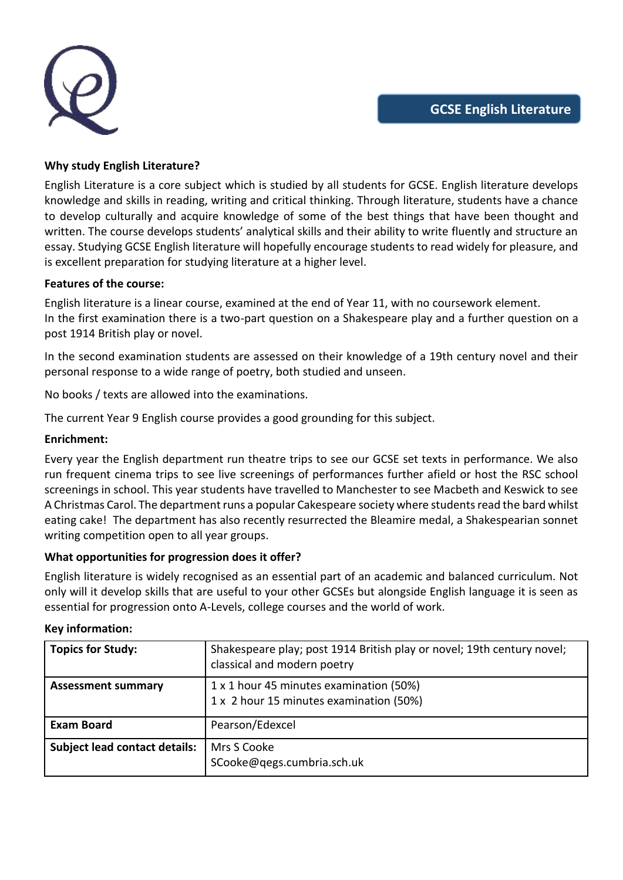

## **Why study English Literature?**

English Literature is a core subject which is studied by all students for GCSE. English literature develops knowledge and skills in reading, writing and critical thinking. Through literature, students have a chance to develop culturally and acquire knowledge of some of the best things that have been thought and written. The course develops students' analytical skills and their ability to write fluently and structure an essay. Studying GCSE English literature will hopefully encourage students to read widely for pleasure, and is excellent preparation for studying literature at a higher level.

## **Features of the course:**

English literature is a linear course, examined at the end of Year 11, with no coursework element. In the first examination there is a two-part question on a Shakespeare play and a further question on a post 1914 British play or novel.

In the second examination students are assessed on their knowledge of a 19th century novel and their personal response to a wide range of poetry, both studied and unseen.

No books / texts are allowed into the examinations.

The current Year 9 English course provides a good grounding for this subject.

#### **Enrichment:**

Every year the English department run theatre trips to see our GCSE set texts in performance. We also run frequent cinema trips to see live screenings of performances further afield or host the RSC school screenings in school. This year students have travelled to Manchester to see Macbeth and Keswick to see A Christmas Carol. The department runs a popular Cakespeare society where students read the bard whilst eating cake! The department has also recently resurrected the Bleamire medal, a Shakespearian sonnet writing competition open to all year groups.

## **What opportunities for progression does it offer?**

English literature is widely recognised as an essential part of an academic and balanced curriculum. Not only will it develop skills that are useful to your other GCSEs but alongside English language it is seen as essential for progression onto A-Levels, college courses and the world of work.

| <b>Topics for Study:</b>             | Shakespeare play; post 1914 British play or novel; 19th century novel;<br>classical and modern poetry |
|--------------------------------------|-------------------------------------------------------------------------------------------------------|
| <b>Assessment summary</b>            | 1 x 1 hour 45 minutes examination (50%)<br>1 x 2 hour 15 minutes examination (50%)                    |
| <b>Exam Board</b>                    | Pearson/Edexcel                                                                                       |
| <b>Subject lead contact details:</b> | Mrs S Cooke<br>SCooke@qegs.cumbria.sch.uk                                                             |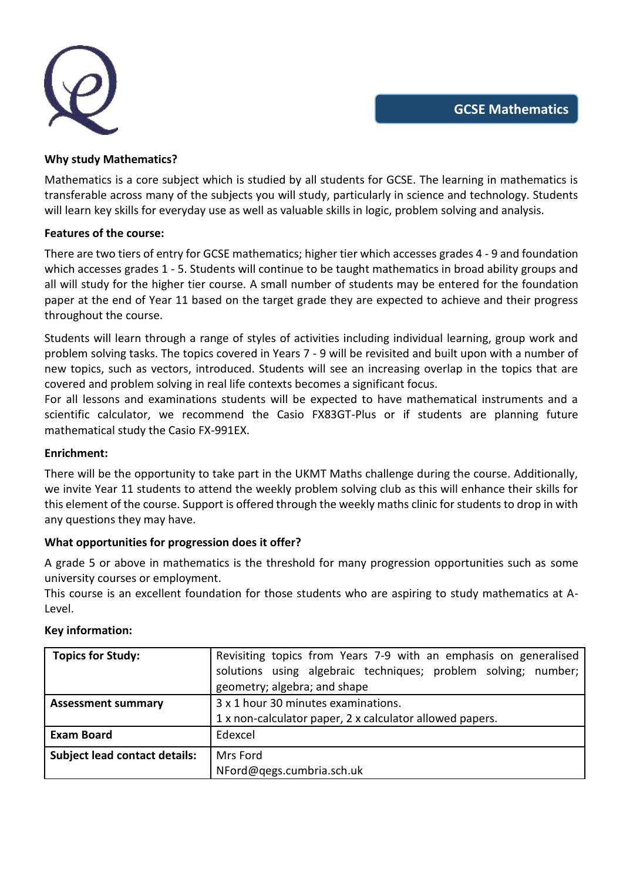

### **Why study Mathematics?**

Mathematics is a core subject which is studied by all students for GCSE. The learning in mathematics is transferable across many of the subjects you will study, particularly in science and technology. Students will learn key skills for everyday use as well as valuable skills in logic, problem solving and analysis.

### **Features of the course:**

There are two tiers of entry for GCSE mathematics; higher tier which accesses grades 4 - 9 and foundation which accesses grades 1 - 5. Students will continue to be taught mathematics in broad ability groups and all will study for the higher tier course. A small number of students may be entered for the foundation paper at the end of Year 11 based on the target grade they are expected to achieve and their progress throughout the course.

Students will learn through a range of styles of activities including individual learning, group work and problem solving tasks. The topics covered in Years 7 - 9 will be revisited and built upon with a number of new topics, such as vectors, introduced. Students will see an increasing overlap in the topics that are covered and problem solving in real life contexts becomes a significant focus.

For all lessons and examinations students will be expected to have mathematical instruments and a scientific calculator, we recommend the Casio FX83GT-Plus or if students are planning future mathematical study the Casio FX-991EX.

## **Enrichment:**

There will be the opportunity to take part in the UKMT Maths challenge during the course. Additionally, we invite Year 11 students to attend the weekly problem solving club as this will enhance their skills for this element of the course. Support is offered through the weekly maths clinic for students to drop in with any questions they may have.

## **What opportunities for progression does it offer?**

A grade 5 or above in mathematics is the threshold for many progression opportunities such as some university courses or employment.

This course is an excellent foundation for those students who are aspiring to study mathematics at A-Level.

| <b>Topics for Study:</b>             | Revisiting topics from Years 7-9 with an emphasis on generalised<br>solutions using algebraic techniques; problem solving; number;<br>geometry; algebra; and shape |
|--------------------------------------|--------------------------------------------------------------------------------------------------------------------------------------------------------------------|
| <b>Assessment summary</b>            | 3 x 1 hour 30 minutes examinations.                                                                                                                                |
|                                      | 1 x non-calculator paper, 2 x calculator allowed papers.                                                                                                           |
| <b>Exam Board</b>                    | Edexcel                                                                                                                                                            |
| <b>Subject lead contact details:</b> | Mrs Ford                                                                                                                                                           |
|                                      | NFord@qegs.cumbria.sch.uk                                                                                                                                          |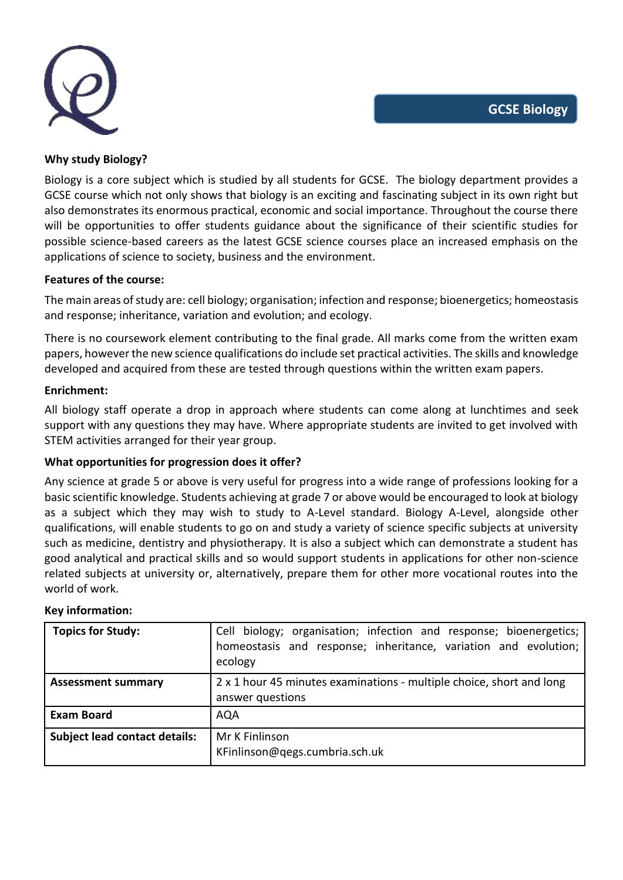

## **Why study Biology?**

Biology is a core subject which is studied by all students for GCSE. The biology department provides a GCSE course which not only shows that biology is an exciting and fascinating subject in its own right but also demonstrates its enormous practical, economic and social importance. Throughout the course there will be opportunities to offer students guidance about the significance of their scientific studies for possible science-based careers as the latest GCSE science courses place an increased emphasis on the applications of science to society, business and the environment.

### **Features of the course:**

The main areas of study are: cell biology; organisation; infection and response; bioenergetics; homeostasis and response; inheritance, variation and evolution; and ecology.

There is no coursework element contributing to the final grade. All marks come from the written exam papers, however the new science qualifications do include set practical activities. The skills and knowledge developed and acquired from these are tested through questions within the written exam papers.

### **Enrichment:**

All biology staff operate a drop in approach where students can come along at lunchtimes and seek support with any questions they may have. Where appropriate students are invited to get involved with STEM activities arranged for their year group.

## **What opportunities for progression does it offer?**

Any science at grade 5 or above is very useful for progress into a wide range of professions looking for a basic scientific knowledge. Students achieving at grade 7 or above would be encouraged to look at biology as a subject which they may wish to study to A-Level standard. Biology A-Level, alongside other qualifications, will enable students to go on and study a variety of science specific subjects at university such as medicine, dentistry and physiotherapy. It is also a subject which can demonstrate a student has good analytical and practical skills and so would support students in applications for other non-science related subjects at university or, alternatively, prepare them for other more vocational routes into the world of work.

| <b>Topics for Study:</b>             | Cell biology; organisation; infection and response; bioenergetics;  <br>homeostasis and response; inheritance, variation and evolution;<br>ecology |
|--------------------------------------|----------------------------------------------------------------------------------------------------------------------------------------------------|
| <b>Assessment summary</b>            | 2 x 1 hour 45 minutes examinations - multiple choice, short and long<br>answer questions                                                           |
| <b>Exam Board</b>                    | AQA                                                                                                                                                |
| <b>Subject lead contact details:</b> | Mr K Finlinson<br>KFinlinson@qegs.cumbria.sch.uk                                                                                                   |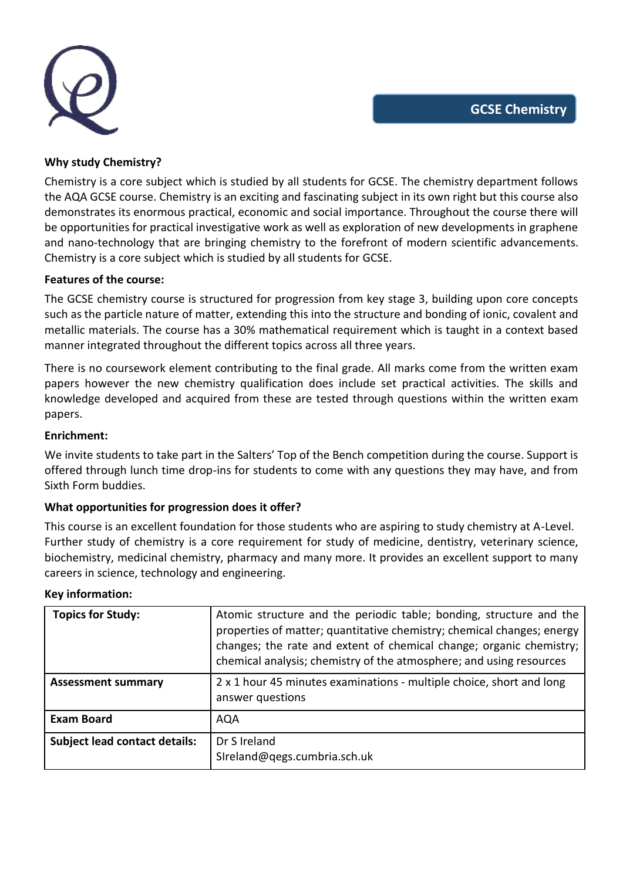

### **Why study Chemistry?**

Chemistry is a core subject which is studied by all students for GCSE. The chemistry department follows the AQA GCSE course. Chemistry is an exciting and fascinating subject in its own right but this course also demonstrates its enormous practical, economic and social importance. Throughout the course there will be opportunities for practical investigative work as well as exploration of new developments in graphene and nano-technology that are bringing chemistry to the forefront of modern scientific advancements. Chemistry is a core subject which is studied by all students for GCSE.

#### **Features of the course:**

The GCSE chemistry course is structured for progression from key stage 3, building upon core concepts such as the particle nature of matter, extending this into the structure and bonding of ionic, covalent and metallic materials. The course has a 30% mathematical requirement which is taught in a context based manner integrated throughout the different topics across all three years.

There is no coursework element contributing to the final grade. All marks come from the written exam papers however the new chemistry qualification does include set practical activities. The skills and knowledge developed and acquired from these are tested through questions within the written exam papers.

#### **Enrichment:**

We invite students to take part in the Salters' Top of the Bench competition during the course. Support is offered through lunch time drop-ins for students to come with any questions they may have, and from Sixth Form buddies.

## **What opportunities for progression does it offer?**

This course is an excellent foundation for those students who are aspiring to study chemistry at A-Level. Further study of chemistry is a core requirement for study of medicine, dentistry, veterinary science, biochemistry, medicinal chemistry, pharmacy and many more. It provides an excellent support to many careers in science, technology and engineering.

| <b>Topics for Study:</b>             | Atomic structure and the periodic table; bonding, structure and the<br>properties of matter; quantitative chemistry; chemical changes; energy<br>changes; the rate and extent of chemical change; organic chemistry;<br>chemical analysis; chemistry of the atmosphere; and using resources |
|--------------------------------------|---------------------------------------------------------------------------------------------------------------------------------------------------------------------------------------------------------------------------------------------------------------------------------------------|
| <b>Assessment summary</b>            | 2 x 1 hour 45 minutes examinations - multiple choice, short and long<br>answer questions                                                                                                                                                                                                    |
| <b>Exam Board</b>                    | <b>AQA</b>                                                                                                                                                                                                                                                                                  |
| <b>Subject lead contact details:</b> | Dr S Ireland<br>SIreland@qegs.cumbria.sch.uk                                                                                                                                                                                                                                                |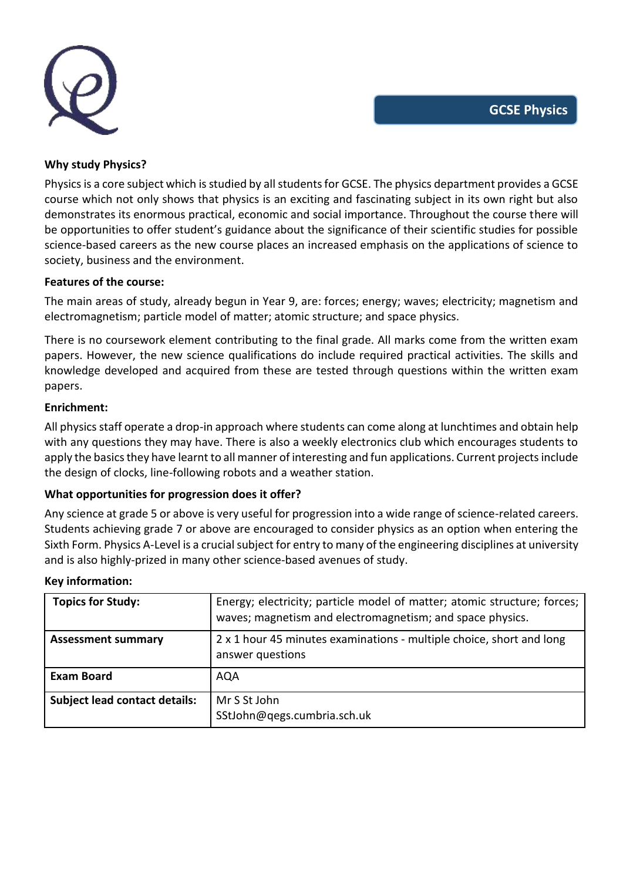

### **Why study Physics?**

Physics is a core subject which is studied by all students for GCSE. The physics department provides a GCSE course which not only shows that physics is an exciting and fascinating subject in its own right but also demonstrates its enormous practical, economic and social importance. Throughout the course there will be opportunities to offer student's guidance about the significance of their scientific studies for possible science-based careers as the new course places an increased emphasis on the applications of science to society, business and the environment.

### **Features of the course:**

The main areas of study, already begun in Year 9, are: forces; energy; waves; electricity; magnetism and electromagnetism; particle model of matter; atomic structure; and space physics.

There is no coursework element contributing to the final grade. All marks come from the written exam papers. However, the new science qualifications do include required practical activities. The skills and knowledge developed and acquired from these are tested through questions within the written exam papers.

### **Enrichment:**

All physics staff operate a drop-in approach where students can come along at lunchtimes and obtain help with any questions they may have. There is also a weekly electronics club which encourages students to apply the basics they have learnt to all manner of interesting and fun applications. Current projects include the design of clocks, line-following robots and a weather station.

## **What opportunities for progression does it offer?**

Any science at grade 5 or above is very useful for progression into a wide range of science-related careers. Students achieving grade 7 or above are encouraged to consider physics as an option when entering the Sixth Form. Physics A-Level is a crucial subject for entry to many of the engineering disciplines at university and is also highly-prized in many other science-based avenues of study.

| <b>Topics for Study:</b>             | Energy; electricity; particle model of matter; atomic structure; forces;<br>waves; magnetism and electromagnetism; and space physics. |
|--------------------------------------|---------------------------------------------------------------------------------------------------------------------------------------|
| <b>Assessment summary</b>            | 2 x 1 hour 45 minutes examinations - multiple choice, short and long<br>answer questions                                              |
| <b>Exam Board</b>                    | AQA                                                                                                                                   |
| <b>Subject lead contact details:</b> | Mr S St John<br>SStJohn@qegs.cumbria.sch.uk                                                                                           |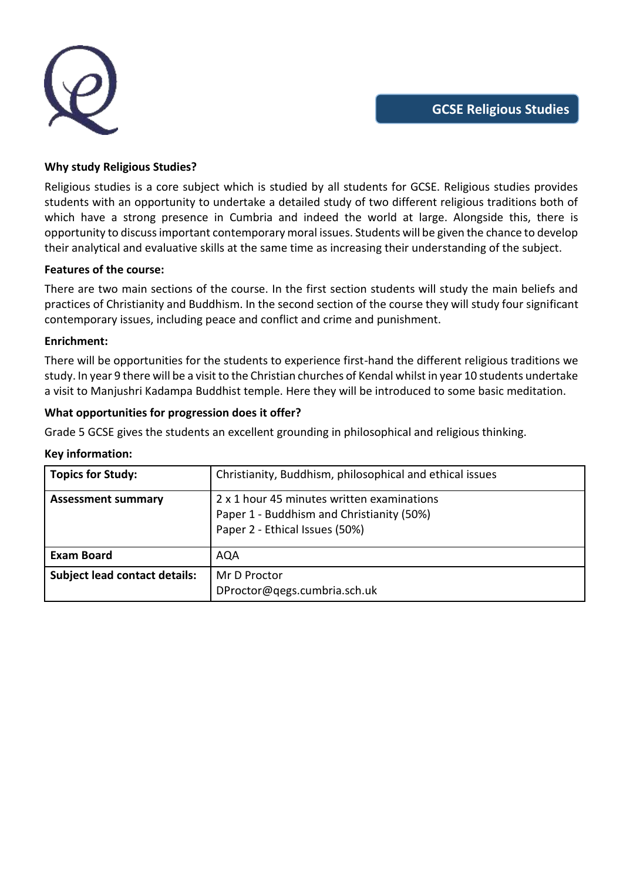

## **Why study Religious Studies?**

Religious studies is a core subject which is studied by all students for GCSE. Religious studies provides students with an opportunity to undertake a detailed study of two different religious traditions both of which have a strong presence in Cumbria and indeed the world at large. Alongside this, there is opportunity to discuss important contemporary moral issues. Students will be given the chance to develop their analytical and evaluative skills at the same time as increasing their understanding of the subject.

### **Features of the course:**

There are two main sections of the course. In the first section students will study the main beliefs and practices of Christianity and Buddhism. In the second section of the course they will study four significant contemporary issues, including peace and conflict and crime and punishment.

### **Enrichment:**

There will be opportunities for the students to experience first-hand the different religious traditions we study. In year 9 there will be a visit to the Christian churches of Kendal whilst in year 10 students undertake a visit to Manjushri Kadampa Buddhist temple. Here they will be introduced to some basic meditation.

## **What opportunities for progression does it offer?**

Grade 5 GCSE gives the students an excellent grounding in philosophical and religious thinking.

| <b>Topics for Study:</b>             | Christianity, Buddhism, philosophical and ethical issues                                                                  |
|--------------------------------------|---------------------------------------------------------------------------------------------------------------------------|
| <b>Assessment summary</b>            | 2 x 1 hour 45 minutes written examinations<br>Paper 1 - Buddhism and Christianity (50%)<br>Paper 2 - Ethical Issues (50%) |
| <b>Exam Board</b>                    | <b>AQA</b>                                                                                                                |
| <b>Subject lead contact details:</b> | Mr D Proctor<br>DProctor@qegs.cumbria.sch.uk                                                                              |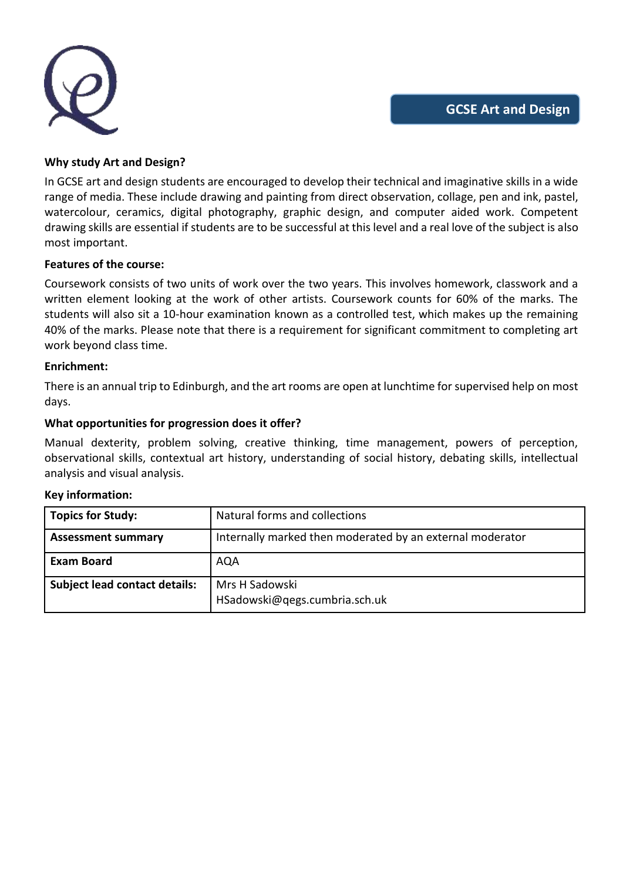

## **Why study Art and Design?**

In GCSE art and design students are encouraged to develop their technical and imaginative skills in a wide range of media. These include drawing and painting from direct observation, collage, pen and ink, pastel, watercolour, ceramics, digital photography, graphic design, and computer aided work. Competent drawing skills are essential if students are to be successful at this level and a real love of the subject is also most important.

#### **Features of the course:**

Coursework consists of two units of work over the two years. This involves homework, classwork and a written element looking at the work of other artists. Coursework counts for 60% of the marks. The students will also sit a 10-hour examination known as a controlled test, which makes up the remaining 40% of the marks. Please note that there is a requirement for significant commitment to completing art work beyond class time.

#### **Enrichment:**

There is an annual trip to Edinburgh, and the art rooms are open at lunchtime for supervised help on most days.

### **What opportunities for progression does it offer?**

Manual dexterity, problem solving, creative thinking, time management, powers of perception, observational skills, contextual art history, understanding of social history, debating skills, intellectual analysis and visual analysis.

| Topics for Study:             | Natural forms and collections                             |
|-------------------------------|-----------------------------------------------------------|
| <b>Assessment summary</b>     | Internally marked then moderated by an external moderator |
| <b>Exam Board</b>             | AQA                                                       |
| Subject lead contact details: | Mrs H Sadowski<br>HSadowski@qegs.cumbria.sch.uk           |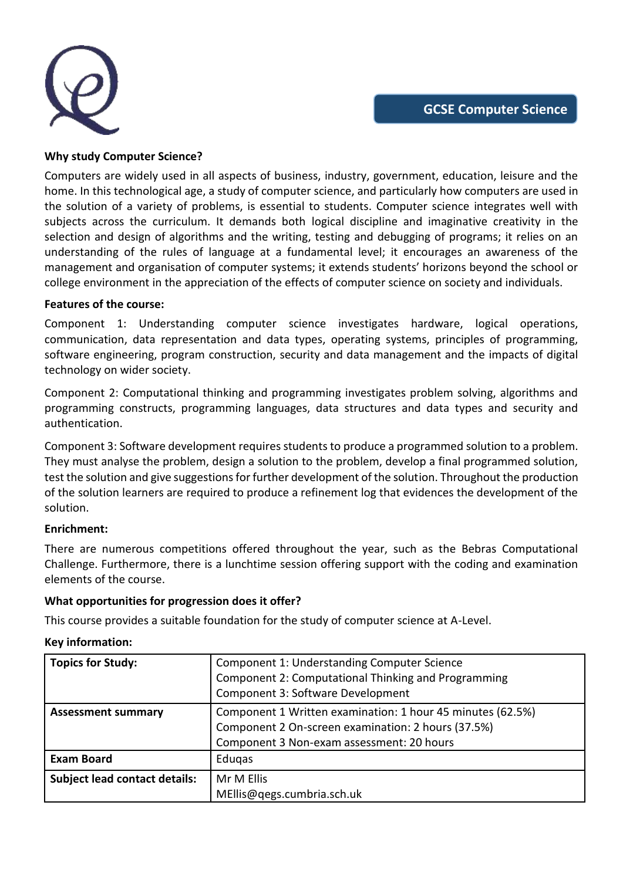

### **Why study Computer Science?**

Computers are widely used in all aspects of business, industry, government, education, leisure and the home. In this technological age, a study of computer science, and particularly how computers are used in the solution of a variety of problems, is essential to students. Computer science integrates well with subjects across the curriculum. It demands both logical discipline and imaginative creativity in the selection and design of algorithms and the writing, testing and debugging of programs; it relies on an understanding of the rules of language at a fundamental level; it encourages an awareness of the management and organisation of computer systems; it extends students' horizons beyond the school or college environment in the appreciation of the effects of computer science on society and individuals.

### **Features of the course:**

Component 1: Understanding computer science investigates hardware, logical operations, communication, data representation and data types, operating systems, principles of programming, software engineering, program construction, security and data management and the impacts of digital technology on wider society.

Component 2: Computational thinking and programming investigates problem solving, algorithms and programming constructs, programming languages, data structures and data types and security and authentication.

Component 3: Software development requires students to produce a programmed solution to a problem. They must analyse the problem, design a solution to the problem, develop a final programmed solution, test the solution and give suggestions for further development of the solution. Throughout the production of the solution learners are required to produce a refinement log that evidences the development of the solution.

#### **Enrichment:**

There are numerous competitions offered throughout the year, such as the Bebras Computational Challenge. Furthermore, there is a lunchtime session offering support with the coding and examination elements of the course.

## **What opportunities for progression does it offer?**

This course provides a suitable foundation for the study of computer science at A-Level.

| Topics for Study:                    | Component 1: Understanding Computer Science<br>Component 2: Computational Thinking and Programming<br>Component 3: Software Development                       |
|--------------------------------------|---------------------------------------------------------------------------------------------------------------------------------------------------------------|
| <b>Assessment summary</b>            | Component 1 Written examination: 1 hour 45 minutes (62.5%)<br>Component 2 On-screen examination: 2 hours (37.5%)<br>Component 3 Non-exam assessment: 20 hours |
| <b>Exam Board</b>                    | Edugas                                                                                                                                                        |
| <b>Subject lead contact details:</b> | Mr M Ellis<br>MEllis@qegs.cumbria.sch.uk                                                                                                                      |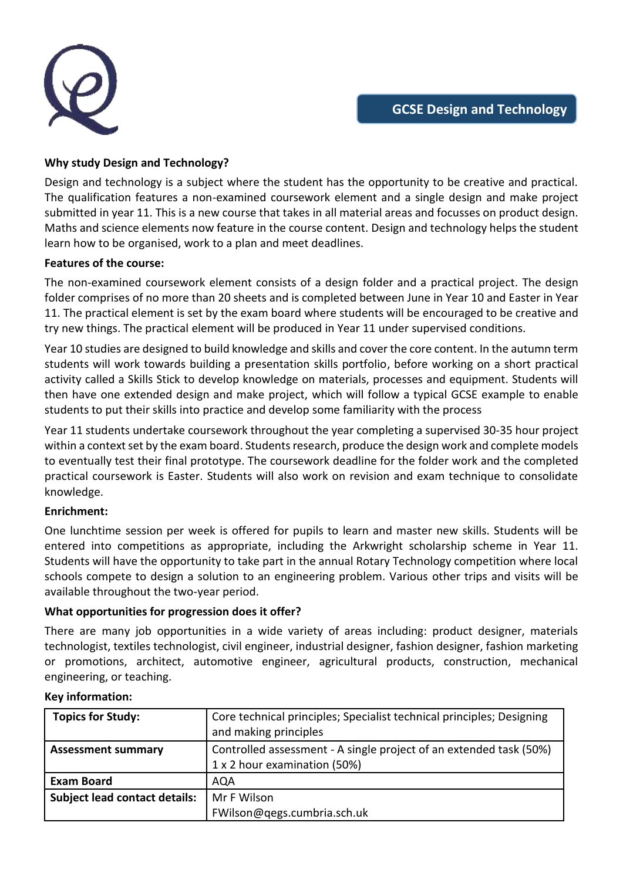

# **Why study Design and Technology?**

Design and technology is a subject where the student has the opportunity to be creative and practical. The qualification features a non-examined coursework element and a single design and make project submitted in year 11. This is a new course that takes in all material areas and focusses on product design. Maths and science elements now feature in the course content. Design and technology helps the student learn how to be organised, work to a plan and meet deadlines.

## **Features of the course:**

The non-examined coursework element consists of a design folder and a practical project. The design folder comprises of no more than 20 sheets and is completed between June in Year 10 and Easter in Year 11. The practical element is set by the exam board where students will be encouraged to be creative and try new things. The practical element will be produced in Year 11 under supervised conditions.

Year 10 studies are designed to build knowledge and skills and cover the core content. In the autumn term students will work towards building a presentation skills portfolio, before working on a short practical activity called a Skills Stick to develop knowledge on materials, processes and equipment. Students will then have one extended design and make project, which will follow a typical GCSE example to enable students to put their skills into practice and develop some familiarity with the process

Year 11 students undertake coursework throughout the year completing a supervised 30-35 hour project within a context set by the exam board. Students research, produce the design work and complete models to eventually test their final prototype. The coursework deadline for the folder work and the completed practical coursework is Easter. Students will also work on revision and exam technique to consolidate knowledge.

## **Enrichment:**

One lunchtime session per week is offered for pupils to learn and master new skills. Students will be entered into competitions as appropriate, including the Arkwright scholarship scheme in Year 11. Students will have the opportunity to take part in the annual Rotary Technology competition where local schools compete to design a solution to an engineering problem. Various other trips and visits will be available throughout the two-year period.

## **What opportunities for progression does it offer?**

There are many job opportunities in a wide variety of areas including: product designer, materials technologist, textiles technologist, civil engineer, industrial designer, fashion designer, fashion marketing or promotions, architect, automotive engineer, agricultural products, construction, mechanical engineering, or teaching.

| <b>Topics for Study:</b>             | Core technical principles; Specialist technical principles; Designing<br>and making principles |
|--------------------------------------|------------------------------------------------------------------------------------------------|
| <b>Assessment summary</b>            | Controlled assessment - A single project of an extended task (50%)                             |
|                                      | 1 x 2 hour examination (50%)                                                                   |
| <b>Exam Board</b>                    | AQA                                                                                            |
| <b>Subject lead contact details:</b> | Mr F Wilson                                                                                    |
|                                      | FWilson@qegs.cumbria.sch.uk                                                                    |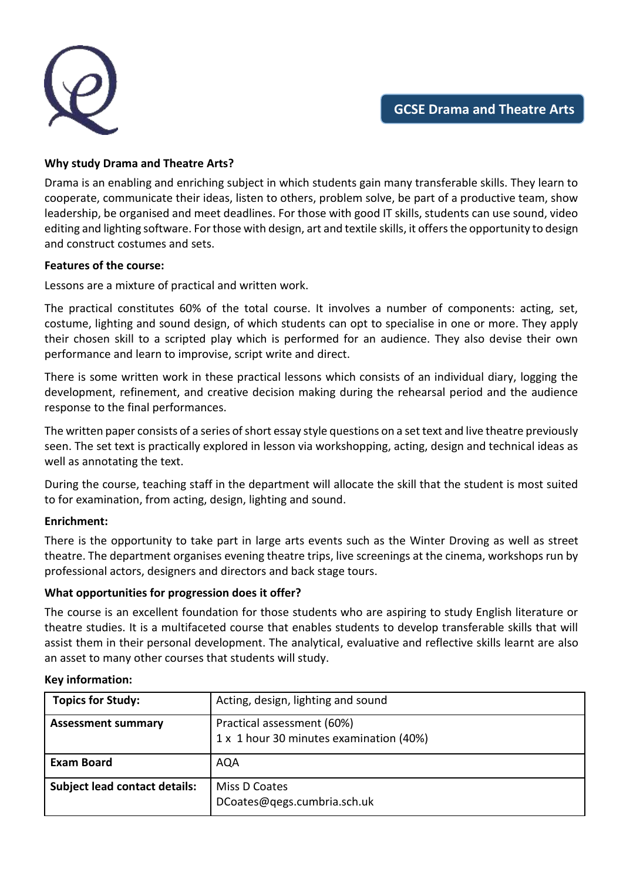

## **Why study Drama and Theatre Arts?**

Drama is an enabling and enriching subject in which students gain many transferable skills. They learn to cooperate, communicate their ideas, listen to others, problem solve, be part of a productive team, show leadership, be organised and meet deadlines. For those with good IT skills, students can use sound, video editing and lighting software. For those with design, art and textile skills, it offers the opportunity to design and construct costumes and sets.

### **Features of the course:**

Lessons are a mixture of practical and written work.

The practical constitutes 60% of the total course. It involves a number of components: acting, set, costume, lighting and sound design, of which students can opt to specialise in one or more. They apply their chosen skill to a scripted play which is performed for an audience. They also devise their own performance and learn to improvise, script write and direct.

There is some written work in these practical lessons which consists of an individual diary, logging the development, refinement, and creative decision making during the rehearsal period and the audience response to the final performances.

The written paper consists of a series of short essay style questions on a set text and live theatre previously seen. The set text is practically explored in lesson via workshopping, acting, design and technical ideas as well as annotating the text.

During the course, teaching staff in the department will allocate the skill that the student is most suited to for examination, from acting, design, lighting and sound.

#### **Enrichment:**

There is the opportunity to take part in large arts events such as the Winter Droving as well as street theatre. The department organises evening theatre trips, live screenings at the cinema, workshops run by professional actors, designers and directors and back stage tours.

#### **What opportunities for progression does it offer?**

The course is an excellent foundation for those students who are aspiring to study English literature or theatre studies. It is a multifaceted course that enables students to develop transferable skills that will assist them in their personal development. The analytical, evaluative and reflective skills learnt are also an asset to many other courses that students will study.

| <b>Topics for Study:</b>             | Acting, design, lighting and sound                                    |
|--------------------------------------|-----------------------------------------------------------------------|
| <b>Assessment summary</b>            | Practical assessment (60%)<br>1 x 1 hour 30 minutes examination (40%) |
| <b>Exam Board</b>                    | AQA                                                                   |
| <b>Subject lead contact details:</b> | Miss D Coates<br>DCoates@qegs.cumbria.sch.uk                          |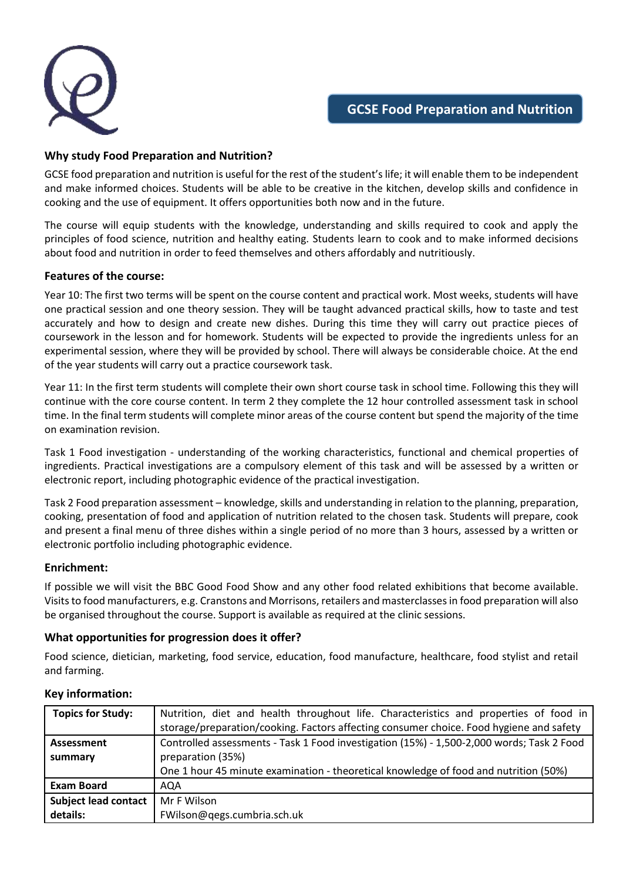

## **Why study Food Preparation and Nutrition?**

GCSE food preparation and nutrition is useful for the rest of the student's life; it will enable them to be independent and make informed choices. Students will be able to be creative in the kitchen, develop skills and confidence in cooking and the use of equipment. It offers opportunities both now and in the future.

The course will equip students with the knowledge, understanding and skills required to cook and apply the principles of food science, nutrition and healthy eating. Students learn to cook and to make informed decisions about food and nutrition in order to feed themselves and others affordably and nutritiously.

#### **Features of the course:**

Year 10: The first two terms will be spent on the course content and practical work. Most weeks, students will have one practical session and one theory session. They will be taught advanced practical skills, how to taste and test accurately and how to design and create new dishes. During this time they will carry out practice pieces of coursework in the lesson and for homework. Students will be expected to provide the ingredients unless for an experimental session, where they will be provided by school. There will always be considerable choice. At the end of the year students will carry out a practice coursework task.

Year 11: In the first term students will complete their own short course task in school time. Following this they will continue with the core course content. In term 2 they complete the 12 hour controlled assessment task in school time. In the final term students will complete minor areas of the course content but spend the majority of the time on examination revision.

Task 1 Food investigation - understanding of the working characteristics, functional and chemical properties of ingredients. Practical investigations are a compulsory element of this task and will be assessed by a written or electronic report, including photographic evidence of the practical investigation.

Task 2 Food preparation assessment – knowledge, skills and understanding in relation to the planning, preparation, cooking, presentation of food and application of nutrition related to the chosen task. Students will prepare, cook and present a final menu of three dishes within a single period of no more than 3 hours, assessed by a written or electronic portfolio including photographic evidence.

#### **Enrichment:**

If possible we will visit the BBC Good Food Show and any other food related exhibitions that become available. Visits to food manufacturers, e.g. Cranstons and Morrisons, retailers and masterclasses in food preparation will also be organised throughout the course. Support is available as required at the clinic sessions.

#### **What opportunities for progression does it offer?**

Food science, dietician, marketing, food service, education, food manufacture, healthcare, food stylist and retail and farming.

| <b>Topics for Study:</b>    | Nutrition, diet and health throughout life. Characteristics and properties of food in     |
|-----------------------------|-------------------------------------------------------------------------------------------|
|                             | storage/preparation/cooking. Factors affecting consumer choice. Food hygiene and safety   |
| Assessment                  | Controlled assessments - Task 1 Food investigation (15%) - 1,500-2,000 words; Task 2 Food |
| summary                     | preparation (35%)                                                                         |
|                             | One 1 hour 45 minute examination - theoretical knowledge of food and nutrition (50%)      |
| <b>Exam Board</b>           | AQA                                                                                       |
| <b>Subject lead contact</b> | Mr F Wilson                                                                               |
| details:                    | FWilson@qegs.cumbria.sch.uk                                                               |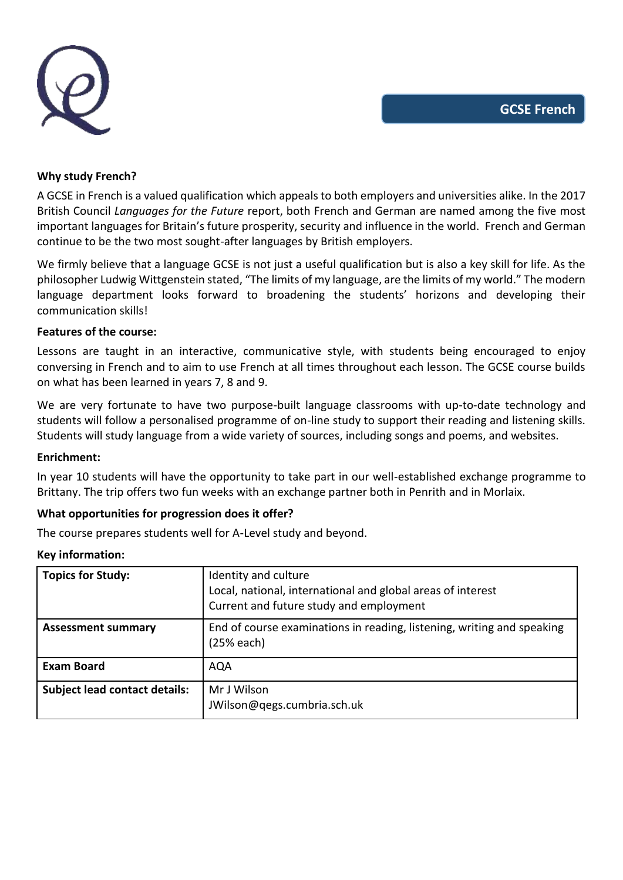

#### **Why study French?**

A GCSE in French is a valued qualification which appeals to both employers and universities alike. In the 2017 British Council *Languages for the Future* report, both French and German are named among the five most important languages for Britain's future prosperity, security and influence in the world. French and German continue to be the two most sought-after languages by British employers.

We firmly believe that a language GCSE is not just a useful qualification but is also a key skill for life. As the philosopher Ludwig Wittgenstein stated, "The limits of my language, are the limits of my world." The modern language department looks forward to broadening the students' horizons and developing their communication skills!

#### **Features of the course:**

Lessons are taught in an interactive, communicative style, with students being encouraged to enjoy conversing in French and to aim to use French at all times throughout each lesson. The GCSE course builds on what has been learned in years 7, 8 and 9.

We are very fortunate to have two purpose-built language classrooms with up-to-date technology and students will follow a personalised programme of on-line study to support their reading and listening skills. Students will study language from a wide variety of sources, including songs and poems, and websites.

#### **Enrichment:**

In year 10 students will have the opportunity to take part in our well-established exchange programme to Brittany. The trip offers two fun weeks with an exchange partner both in Penrith and in Morlaix.

#### **What opportunities for progression does it offer?**

The course prepares students well for A-Level study and beyond.

| <b>Topics for Study:</b>             | Identity and culture<br>Local, national, international and global areas of interest<br>Current and future study and employment |
|--------------------------------------|--------------------------------------------------------------------------------------------------------------------------------|
| <b>Assessment summary</b>            | End of course examinations in reading, listening, writing and speaking<br>$(25%$ each)                                         |
| <b>Exam Board</b>                    | <b>AQA</b>                                                                                                                     |
| <b>Subject lead contact details:</b> | Mr J Wilson<br>JWilson@qegs.cumbria.sch.uk                                                                                     |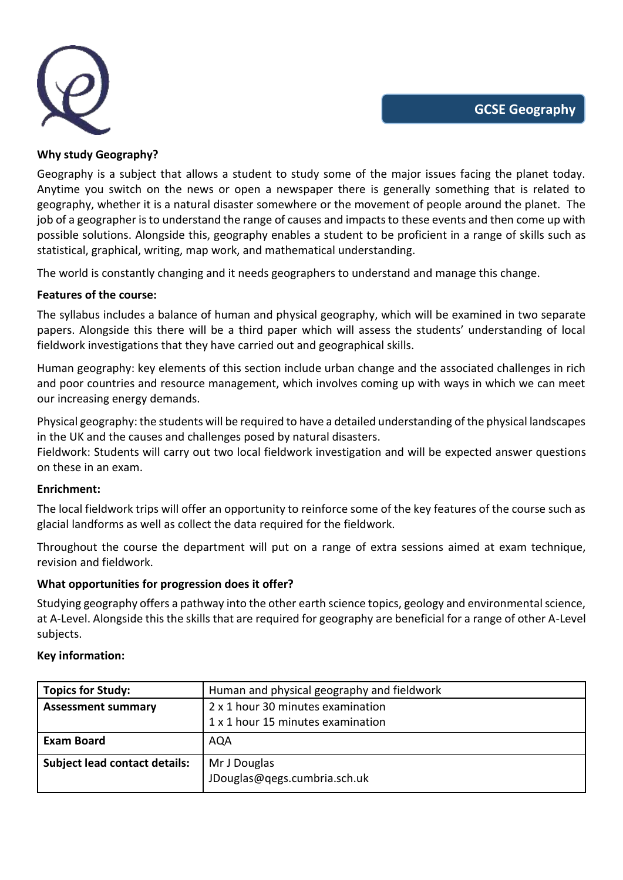

## **Why study Geography?**

Geography is a subject that allows a student to study some of the major issues facing the planet today. Anytime you switch on the news or open a newspaper there is generally something that is related to geography, whether it is a natural disaster somewhere or the movement of people around the planet. The job of a geographer is to understand the range of causes and impacts to these events and then come up with possible solutions. Alongside this, geography enables a student to be proficient in a range of skills such as statistical, graphical, writing, map work, and mathematical understanding.

The world is constantly changing and it needs geographers to understand and manage this change.

# **Features of the course:**

The syllabus includes a balance of human and physical geography, which will be examined in two separate papers. Alongside this there will be a third paper which will assess the students' understanding of local fieldwork investigations that they have carried out and geographical skills.

Human geography: key elements of this section include urban change and the associated challenges in rich and poor countries and resource management, which involves coming up with ways in which we can meet our increasing energy demands.

Physical geography: the students will be required to have a detailed understanding of the physical landscapes in the UK and the causes and challenges posed by natural disasters.

Fieldwork: Students will carry out two local fieldwork investigation and will be expected answer questions on these in an exam.

## **Enrichment:**

The local fieldwork trips will offer an opportunity to reinforce some of the key features of the course such as glacial landforms as well as collect the data required for the fieldwork.

Throughout the course the department will put on a range of extra sessions aimed at exam technique, revision and fieldwork.

## **What opportunities for progression does it offer?**

Studying geography offers a pathway into the other earth science topics, geology and environmental science, at A-Level. Alongside this the skills that are required for geography are beneficial for a range of other A-Level subjects.

| Topics for Study:                    | Human and physical geography and fieldwork   |
|--------------------------------------|----------------------------------------------|
| <b>Assessment summary</b>            | 2 x 1 hour 30 minutes examination            |
|                                      | 1 x 1 hour 15 minutes examination            |
| <b>Exam Board</b>                    | AQA                                          |
| <b>Subject lead contact details:</b> | Mr J Douglas<br>JDouglas@qegs.cumbria.sch.uk |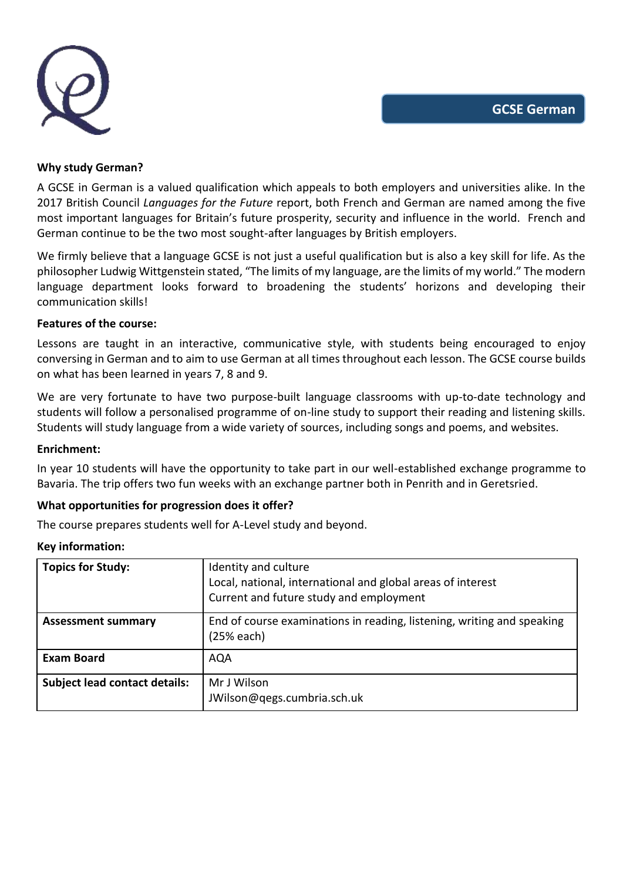

#### **Why study German?**

A GCSE in German is a valued qualification which appeals to both employers and universities alike. In the 2017 British Council *Languages for the Future* report, both French and German are named among the five most important languages for Britain's future prosperity, security and influence in the world. French and German continue to be the two most sought-after languages by British employers.

We firmly believe that a language GCSE is not just a useful qualification but is also a key skill for life. As the philosopher Ludwig Wittgenstein stated, "The limits of my language, are the limits of my world." The modern language department looks forward to broadening the students' horizons and developing their communication skills!

## **Features of the course:**

Lessons are taught in an interactive, communicative style, with students being encouraged to enjoy conversing in German and to aim to use German at all times throughout each lesson. The GCSE course builds on what has been learned in years 7, 8 and 9.

We are very fortunate to have two purpose-built language classrooms with up-to-date technology and students will follow a personalised programme of on-line study to support their reading and listening skills. Students will study language from a wide variety of sources, including songs and poems, and websites.

#### **Enrichment:**

In year 10 students will have the opportunity to take part in our well-established exchange programme to Bavaria. The trip offers two fun weeks with an exchange partner both in Penrith and in Geretsried.

## **What opportunities for progression does it offer?**

The course prepares students well for A-Level study and beyond.

| <b>Topics for Study:</b>             | Identity and culture<br>Local, national, international and global areas of interest<br>Current and future study and employment |
|--------------------------------------|--------------------------------------------------------------------------------------------------------------------------------|
| <b>Assessment summary</b>            | End of course examinations in reading, listening, writing and speaking<br>$(25%$ each)                                         |
| <b>Exam Board</b>                    | <b>AQA</b>                                                                                                                     |
| <b>Subject lead contact details:</b> | Mr J Wilson<br>JWilson@qegs.cumbria.sch.uk                                                                                     |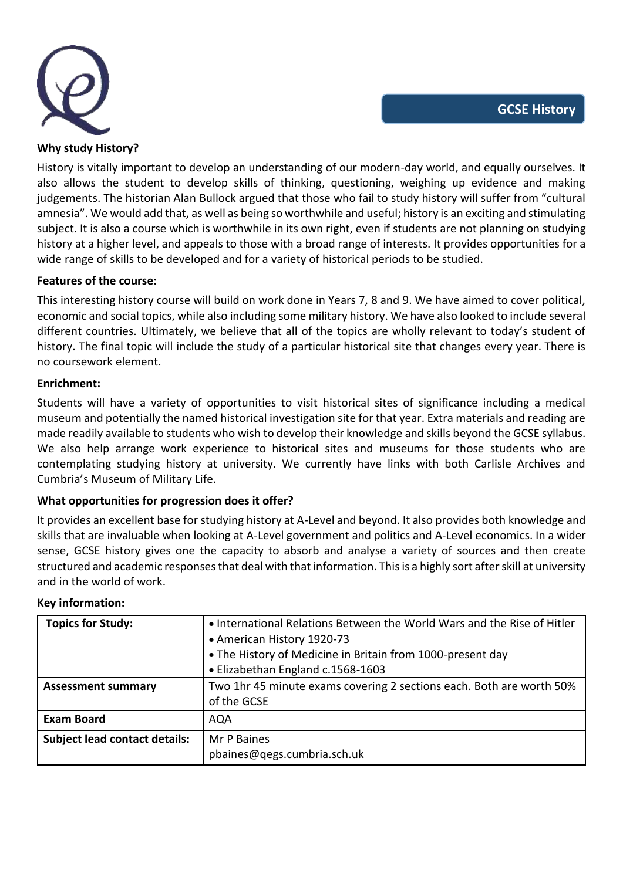

## **Why study History?**

History is vitally important to develop an understanding of our modern-day world, and equally ourselves. It also allows the student to develop skills of thinking, questioning, weighing up evidence and making judgements. The historian Alan Bullock argued that those who fail to study history will suffer from "cultural amnesia". We would add that, as well as being so worthwhile and useful; history is an exciting and stimulating subject. It is also a course which is worthwhile in its own right, even if students are not planning on studying history at a higher level, and appeals to those with a broad range of interests. It provides opportunities for a wide range of skills to be developed and for a variety of historical periods to be studied.

## **Features of the course:**

This interesting history course will build on work done in Years 7, 8 and 9. We have aimed to cover political, economic and social topics, while also including some military history. We have also looked to include several different countries. Ultimately, we believe that all of the topics are wholly relevant to today's student of history. The final topic will include the study of a particular historical site that changes every year. There is no coursework element.

## **Enrichment:**

Students will have a variety of opportunities to visit historical sites of significance including a medical museum and potentially the named historical investigation site for that year. Extra materials and reading are made readily available to students who wish to develop their knowledge and skills beyond the GCSE syllabus. We also help arrange work experience to historical sites and museums for those students who are contemplating studying history at university. We currently have links with both Carlisle Archives and Cumbria's Museum of Military Life.

## **What opportunities for progression does it offer?**

It provides an excellent base for studying history at A-Level and beyond. It also provides both knowledge and skills that are invaluable when looking at A-Level government and politics and A-Level economics. In a wider sense, GCSE history gives one the capacity to absorb and analyse a variety of sources and then create structured and academic responses that deal with that information. This is a highly sort after skill at university and in the world of work.

| <b>Topics for Study:</b>             | . International Relations Between the World Wars and the Rise of Hitler |
|--------------------------------------|-------------------------------------------------------------------------|
|                                      | • American History 1920-73                                              |
|                                      | • The History of Medicine in Britain from 1000-present day              |
|                                      | • Elizabethan England c.1568-1603                                       |
| <b>Assessment summary</b>            | Two 1hr 45 minute exams covering 2 sections each. Both are worth 50%    |
|                                      | of the GCSE                                                             |
| <b>Exam Board</b>                    | <b>AQA</b>                                                              |
| <b>Subject lead contact details:</b> | Mr P Baines                                                             |
|                                      | pbaines@qegs.cumbria.sch.uk                                             |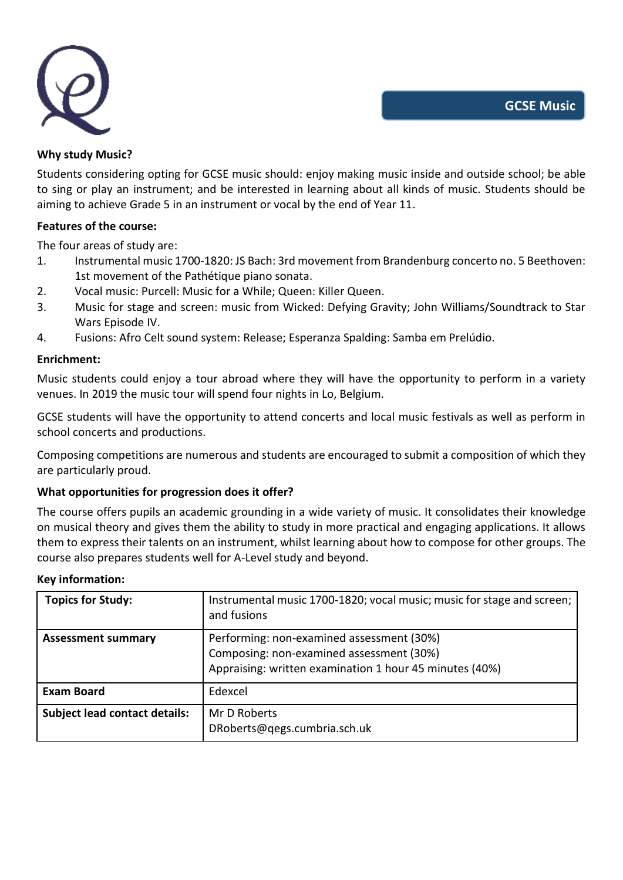

## **Why study Music?**

Students considering opting for GCSE music should: enjoy making music inside and outside school; be able to sing or play an instrument; and be interested in learning about all kinds of music. Students should be aiming to achieve Grade 5 in an instrument or vocal by the end of Year 11.

## **Features of the course:**

The four areas of study are:

- 1. Instrumental music 1700-1820: JS Bach: 3rd movement from Brandenburg concerto no. 5 Beethoven: 1st movement of the Pathétique piano sonata.
- 2. Vocal music: Purcell: Music for a While; Queen: Killer Queen.
- 3. Music for stage and screen: music from Wicked: Defying Gravity; John Williams/Soundtrack to Star Wars Episode IV.
- 4. Fusions: Afro Celt sound system: Release; Esperanza Spalding: Samba em Prelúdio.

### **Enrichment:**

Music students could enjoy a tour abroad where they will have the opportunity to perform in a variety venues. In 2019 the music tour will spend four nights in Lo, Belgium.

GCSE students will have the opportunity to attend concerts and local music festivals as well as perform in school concerts and productions.

Composing competitions are numerous and students are encouraged to submit a composition of which they are particularly proud.

## **What opportunities for progression does it offer?**

The course offers pupils an academic grounding in a wide variety of music. It consolidates their knowledge on musical theory and gives them the ability to study in more practical and engaging applications. It allows them to express their talents on an instrument, whilst learning about how to compose for other groups. The course also prepares students well for A-Level study and beyond.

| <b>Topics for Study:</b>             | Instrumental music 1700-1820; vocal music; music for stage and screen;<br>and fusions                                                            |
|--------------------------------------|--------------------------------------------------------------------------------------------------------------------------------------------------|
| <b>Assessment summary</b>            | Performing: non-examined assessment (30%)<br>Composing: non-examined assessment (30%)<br>Appraising: written examination 1 hour 45 minutes (40%) |
| <b>Exam Board</b>                    | Edexcel                                                                                                                                          |
| <b>Subject lead contact details:</b> | Mr D Roberts<br>DRoberts@qegs.cumbria.sch.uk                                                                                                     |